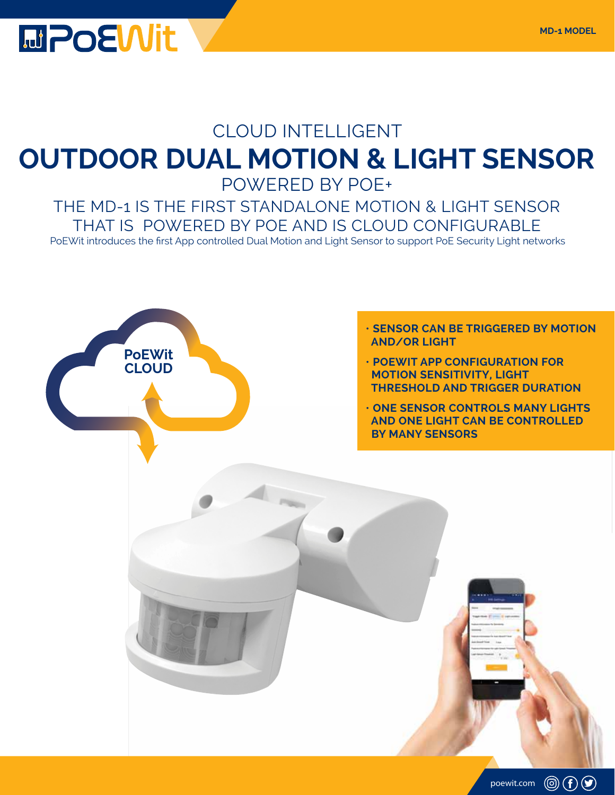

## CLOUD INTELLIGENT **OUTDOOR DUAL MOTION & LIGHT SENSOR** POWERED BY POE+

THE MD-1 IS THE FIRST STANDALONE MOTION & LIGHT SENSOR THAT IS POWERED BY POE AND IS CLOUD CONFIGURABLE PoEWit introduces the first App controlled Dual Motion and Light Sensor to support PoE Security Light networks

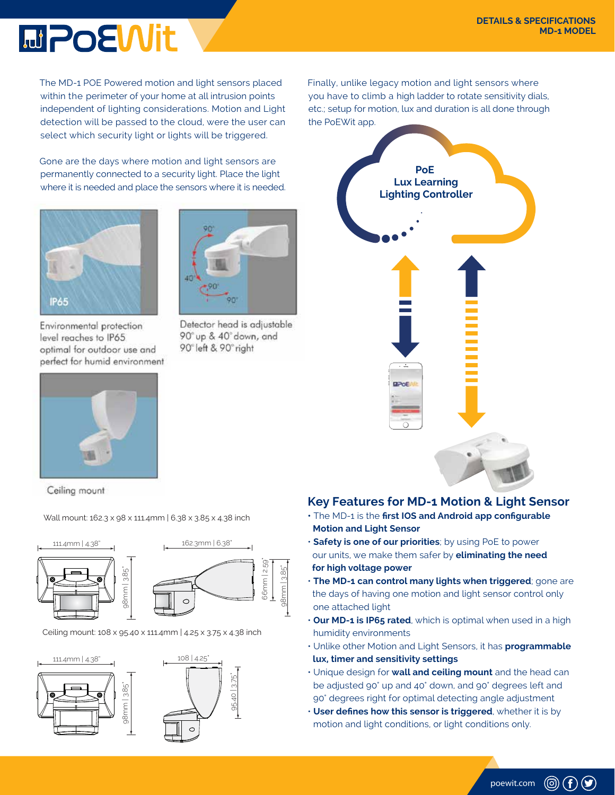## **MPOEWit**

The MD-1 POE Powered motion and light sensors placed within the perimeter of your home at all intrusion points independent of lighting considerations. Motion and Light detection will be passed to the cloud, were the user can select which security light or lights will be triggered.

Gone are the days where motion and light sensors are permanently connected to a security light. Place the light where it is needed and place the sensors where it is needed.

Detector head is adjustable

90° up & 40° down, and

90° left & 90° right



Environmental protection level reaches to IP65 optimal for outdoor use and perfect for humid environment



Ceiling mount

Wall mount: 162.3 x 98 x 111.4mm | 6.38 x 3.85 x 4.38 inch



Ceiling mount: 108 x 95.40 x 111.4mm | 4.25 x 3.75 x 4.38 inch



Finally, unlike legacy motion and light sensors where you have to climb a high ladder to rotate sensitivity dials, etc.; setup for motion, lux and duration is all done through the PoEWit app.



## **Key Features for MD-1 Motion & Light Sensor**

- The MD-1 is the **first IOS and Android app configurable Motion and Light Sensor**
- **Safety is one of our priorities**; by using PoE to power our units, we make them safer by **eliminating the need for high voltage power**
- **The MD-1 can control many lights when triggered**; gone are the days of having one motion and light sensor control only one attached light
- **Our MD-1 is IP65 rated**, which is optimal when used in a high humidity environments
- Unlike other Motion and Light Sensors, it has **programmable lux, timer and sensitivity settings**
- Unique design for **wall and ceiling mount** and the head can be adjusted 90° up and 40° down, and 90° degrees left and 90° degrees right for optimal detecting angle adjustment
- **User defines how this sensor is triggered**, whether it is by motion and light conditions, or light conditions only.

poewit.com

 $\circledcirc$